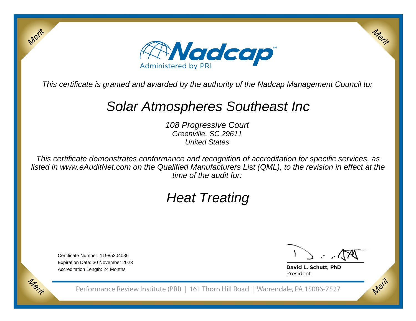

This certificate is granted and awarded by the authority of the Nadcap Management Council to:

# Solar Atmospheres Southeast Inc

108 Progressive CourtGreenville, SC 29611United States

This certificate demonstrates conformance and recognition of accreditation for specific services, as listed in www.eAuditNet.com on the Qualified Manufacturers List (QML), to the revision in effect at thetime of the audit for:

# Heat Treating

Certificate Number: 11985204036 Expiration Date: 30 November 2023Accreditation Length: 24 Months

Merit

Morie

Merit

Merit

David L. Schutt, PhD President

Performance Review Institute (PRI) | 161 Thorn Hill Road | Warrendale, PA 15086-7527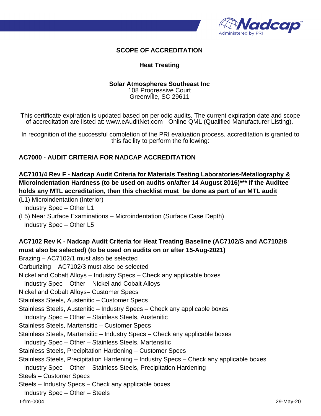

#### **SCOPE OF ACCREDITATION**

#### **Heat Treating**

#### **Solar Atmospheres Southeast Inc**

108 Progressive Court Greenville, SC 29611

This certificate expiration is updated based on periodic audits. The current expiration date and scope of accreditation are listed at: www.eAuditNet.com - Online QML (Qualified Manufacturer Listing).

In recognition of the successful completion of the PRI evaluation process, accreditation is granted to this facility to perform the following:

#### **AC7000 - AUDIT CRITERIA FOR NADCAP ACCREDITATION**

# **AC7101/4 Rev F - Nadcap Audit Criteria for Materials Testing Laboratories-Metallography & Microindentation Hardness (to be used on audits on/after 14 August 2016)\*\*\* If the Auditee holds any MTL accreditation, then this checklist must be done as part of an MTL audit**

(L1) Microindentation (Interior)

Industry Spec – Other L1

(L5) Near Surface Examinations – Microindentation (Surface Case Depth)

Industry Spec – Other L5

### **AC7102 Rev K - Nadcap Audit Criteria for Heat Treating Baseline (AC7102/S and AC7102/8 must also be selected) (to be used on audits on or after 15-Aug-2021)**

Brazing – AC7102/1 must also be selected

Carburizing – AC7102/3 must also be selected

Nickel and Cobalt Alloys – Industry Specs – Check any applicable boxes

Industry Spec – Other – Nickel and Cobalt Alloys

Nickel and Cobalt Alloys– Customer Specs

Stainless Steels, Austenitic – Customer Specs

Stainless Steels, Austenitic – Industry Specs – Check any applicable boxes

Industry Spec – Other – Stainless Steels, Austenitic

Stainless Steels, Martensitic – Customer Specs

Stainless Steels, Martensitic – Industry Specs – Check any applicable boxes

Industry Spec – Other – Stainless Steels, Martensitic

Stainless Steels, Precipitation Hardening – Customer Specs

Stainless Steels, Precipitation Hardening – Industry Specs – Check any applicable boxes

Industry Spec – Other – Stainless Steels, Precipitation Hardening

Steels – Customer Specs

Steels – Industry Specs – Check any applicable boxes

Industry Spec – Other – Steels

t-frm-0004 29-May-20